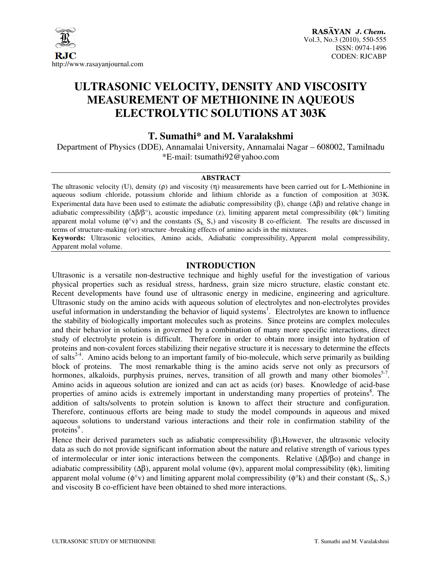

## **ULTRASONIC VELOCITY, DENSITY AND VISCOSITY MEASUREMENT OF METHIONINE IN AQUEOUS ELECTROLYTIC SOLUTIONS AT 303K**

### **T. Sumathi\* and M. Varalakshmi**

Department of Physics (DDE), Annamalai University, Annamalai Nagar – 608002, Tamilnadu \*E-mail: tsumathi92@yahoo.com

#### **ABSTRACT**

The ultrasonic velocity (U), density (ρ) and viscosity (η) measurements have been carried out for L-Methionine in aqueous sodium chloride, potassium chloride and lithium chloride as a function of composition at 303K. Experimental data have been used to estimate the adiabatic compressibility  $(\beta)$ , change  $(\Delta \beta)$  and relative change in adiabatic compressibility ( $\Delta\beta/\beta^{\circ}$ ), acoustic impedance (z), limiting apparent metal compressibility ( $\phi$ k<sup>o</sup>) limiting apparent molal volume ( $\phi^{\circ}$ v) and the constants (S<sub>k,</sub> S<sub>v</sub>) and viscosity B co-efficient. The results are discussed in terms of structure-making (or) structure -breaking effects of amino acids in the mixtures.

**Keywords:** Ultrasonic velocities, Amino acids, Adiabatic compressibility, Apparent molal compressibility, Apparent molal volume.

#### **INTRODUCTION**

Ultrasonic is a versatile non-destructive technique and highly useful for the investigation of various physical properties such as residual stress, hardness, grain size micro structure, elastic constant etc. Recent developments have found use of ultrasonic energy in medicine, engineering and agriculture. Ultrasonic study on the amino acids with aqueous solution of electrolytes and non-electrolytes provides useful information in understanding the behavior of liquid systems<sup>1</sup>. Electrolytes are known to influence the stability of biologically important molecules such as proteins. Since proteins are complex molecules and their behavior in solutions in governed by a combination of many more specific interactions, direct study of electrolyte protein is difficult. Therefore in order to obtain more insight into hydration of proteins and non-covalent forces stabilizing their negative structure it is necessary to determine the effects of salts<sup>2-4</sup>. Amino acids belong to an important family of bio-molecule, which serve primarily as building block of proteins. The most remarkable thing is the amino acids serve not only as precursors of hormones, alkaloids, purphysis pruines, nerves, transition of all growth and many other biomoles<sup>5-7</sup>. Amino acids in aqueous solution are ionized and can act as acids (or) bases. Knowledge of acid-base properties of amino acids is extremely important in understanding many properties of proteins<sup>8</sup>. The addition of salts/solvents to protein solution is known to affect their structure and configuration. Therefore, continuous efforts are being made to study the model compounds in aqueous and mixed aqueous solutions to understand various interactions and their role in confirmation stability of the proteins $9$ .

Hence their derived parameters such as adiabatic compressibility (β),However, the ultrasonic velocity data as such do not provide significant information about the nature and relative strength of various types of intermolecular or inter ionic interactions between the components. Relative (∆β/βo) and change in adiabatic compressibility (∆β), apparent molal volume (φv), apparent molal compressibility (φk), limiting apparent molal volume ( $\phi^{\circ}$ v) and limiting apparent molal compressibility ( $\phi^{\circ}$ k) and their constant (S<sub>k</sub>, S<sub>v</sub>) and viscosity B co-efficient have been obtained to shed more interactions.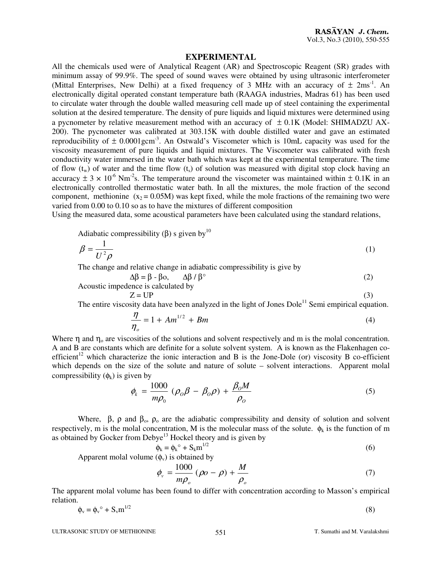#### **EXPERIMENTAL**

All the chemicals used were of Analytical Reagent (AR) and Spectroscopic Reagent (SR) grades with minimum assay of 99.9%. The speed of sound waves were obtained by using ultrasonic interferometer (Mittal Enterprises, New Delhi) at a fixed frequency of 3 MHz with an accuracy of  $\pm$  2ms<sup>-1</sup>. An electronically digital operated constant temperature bath (RAAGA industries, Madras 61) has been used to circulate water through the double walled measuring cell made up of steel containing the experimental solution at the desired temperature. The density of pure liquids and liquid mixtures were determined using a pycnometer by relative measurement method with an accuracy of  $\pm$  0.1K (Model: SHIMADZU AX-200). The pycnometer was calibrated at 303.15K with double distilled water and gave an estimated reproducibility of  $\pm$  0.0001gcm<sup>-3</sup>. An Ostwald's Viscometer which is 10mL capacity was used for the viscosity measurement of pure liquids and liquid mixtures. The Viscometer was calibrated with fresh conductivity water immersed in the water bath which was kept at the experimental temperature. The time of flow  $(t_w)$  of water and the time flow  $(t_s)$  of solution was measured with digital stop clock having an accuracy  $\pm$  3 × 10<sup>-6</sup> Nm<sup>-2</sup>s. The temperature around the viscometer was maintained within  $\pm$  0.1K in an electronically controlled thermostatic water bath. In all the mixtures, the mole fraction of the second component, methionine  $(x_2 = 0.05M)$  was kept fixed, while the mole fractions of the remaining two were varied from 0.00 to 0.10 so as to have the mixtures of different composition

Using the measured data, some acoustical parameters have been calculated using the standard relations,

Adiabatic compressibility ( $\beta$ ) s given by<sup>10</sup>

$$
\beta = \frac{1}{U^2 \rho} \tag{1}
$$

The change and relative change in adiabatic compressibility is give by

$$
\Delta \beta = \beta - \beta o, \qquad \Delta \beta / \beta^{\circ} \tag{2}
$$

Acoustic impedence is calculated by

$$
Z = UP \tag{3}
$$

The entire viscosity data have been analyzed in the light of Jones  $Dole<sup>11</sup>$  Semi empirical equation.

$$
\frac{\eta}{\eta_o} = 1 + Am^{1/2} + Bm \tag{4}
$$

Where  $\eta$  and  $\eta_0$  are viscosities of the solutions and solvent respectively and m is the molal concentration. A and B are constants which are definite for a solute solvent system. A is known as the Flakenhagen coefficient<sup>12</sup> which characterize the ionic interaction and B is the Jone-Dole (or) viscosity B co-efficient which depends on the size of the solute and nature of solute – solvent interactions. Apparent molal compressibility  $(\phi_k)$  is given by

$$
\phi_k = \frac{1000}{m\rho_0} \left(\rho_0 \beta - \beta_0 \rho\right) + \frac{\beta_0 M}{\rho_0} \tag{5}
$$

Where,  $\beta$ ,  $\rho$  and  $\beta_0$ ,  $\rho_0$  are the adiabatic compressibility and density of solution and solvent respectively, m is the molal concentration, M is the molecular mass of the solute.  $\phi_k$  is the function of m as obtained by Gocker from Debye<sup>13</sup> Hockel theory and is given by

$$
\phi_k = \phi_k^\circ + S_k m^{1/2} \tag{6}
$$

Apparent molal volume  $(\phi_v)$  is obtained by

$$
\phi_{v} = \frac{1000}{m\rho_{o}} \left(\rho o - \rho\right) + \frac{M}{\rho_{o}}\tag{7}
$$

The apparent molal volume has been found to differ with concentration according to Masson's empirical relation.

$$
\phi_{v} = \phi_{v}^{\circ} + S_{v} m^{1/2}
$$
 (8)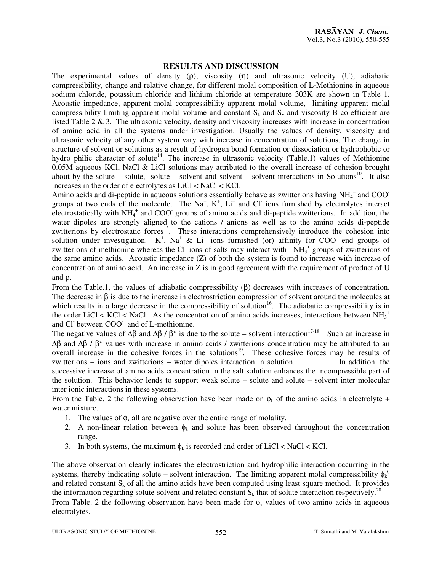#### **RESULTS AND DISCUSSION**

The experimental values of density (ρ), viscosity (η) and ultrasonic velocity (U), adiabatic compressibility, change and relative change, for different molal composition of L-Methionine in aqueous sodium chloride, potassium chloride and lithium chloride at temperature 303K are shown in Table 1. Acoustic impedance, apparent molal compressibility apparent molal volume, limiting apparent molal compressibility limiting apparent molal volume and constant  $S_k$  and  $S_y$  and viscosity B co-efficient are listed Table 2 & 3. The ultrasonic velocity, density and viscosity increases with increase in concentration of amino acid in all the systems under investigation. Usually the values of density, viscosity and ultrasonic velocity of any other system vary with increase in concentration of solutions. The change in structure of solvent or solutions as a result of hydrogen bond formation or dissociation or hydrophobic or hydro philic character of solute<sup>14</sup>. The increase in ultrasonic velocity (Table.1) values of Methionine 0.05M aqueous KCl, NaCl & LiCl solutions may attributed to the overall increase of cohesion brought about by the solute – solute, solute – solvent and solvent – solvent interactions in Solutions<sup>10</sup>. It also increases in the order of electrolytes as LiCl < NaCl < KCl.

Amino acids and di-peptide in aqueous solutions essentially behave as zwitterions having  $NH_4^+$  and COO groups at two ends of the molecule. The Na<sup>+</sup>, K<sup>+</sup>, Li<sup>+</sup> and Cl<sup>-</sup> ions furnished by electrolytes interact electrostatically with NH<sub>4</sub><sup>+</sup> and COO<sup>-</sup> groups of amino acids and di-peptide zwitterions. In addition, the water dipoles are strongly aligned to the cations / anions as well as to the amino acids di-peptide zwitterions by electrostatic forces<sup>15</sup>. These interactions comprehensively introduce the cohesion into solution under investigation.  $K^+$ , Na<sup>+</sup> & Li<sup>+</sup> ions furnished (or) affinity for COO end groups of zwitterions of methionine whereas the Cl ions of salts may interact with  $-NH_3$ <sup>+</sup> groups of zwitterions of the same amino acids. Acoustic impedance (Z) of both the system is found to increase with increase of concentration of amino acid. An increase in Z is in good agreement with the requirement of product of U and ρ.

From the Table.1, the values of adiabatic compressibility (β) decreases with increases of concentration. The decrease in  $\beta$  is due to the increase in electrostriction compression of solvent around the molecules at which results in a large decrease in the compressibility of solution<sup>16</sup>. The adiabatic compressibility is in the order LiCl < KCl < NaCl. As the concentration of amino acids increases, interactions between  $NH_3^+$ and Cl<sup>-</sup> between COO<sup>-</sup> and of L-methionine.

The negative values of  $\Delta\beta$  and  $\Delta\beta$  /  $\beta$ ° is due to the solute – solvent interaction<sup>17-18.</sup> Such an increase in ∆β and ∆β / β° values with increase in amino acids / zwitterions concentration may be attributed to an overall increase in the cohesive forces in the solutions<sup>19</sup>. These cohesive forces may be results of zwitterions – ions and zwitterions – water dipoles interaction in solution. In addition, the successive increase of amino acids concentration in the salt solution enhances the incompressible part of the solution. This behavior lends to support weak solute – solute and solute – solvent inter molecular inter ionic interactions in these systems.

From the Table. 2 the following observation have been made on  $\phi_k$  of the amino acids in electrolyte + water mixture.

- 1. The values of  $\phi_k$  all are negative over the entire range of molality.
- 2. A non-linear relation between  $\phi_k$  and solute has been observed throughout the concentration range.
- 3. In both systems, the maximum  $\phi_k$  is recorded and order of LiCl < NaCl < KCl.

The above observation clearly indicates the electrostriction and hydrophilic interaction occurring in the systems, thereby indicating solute – solvent interaction. The limiting apparent molal compressibility  $\phi_k^0$ and related constant  $S_k$  of all the amino acids have been computed using least square method. It provides the information regarding solute-solvent and related constant  $S_k$  that of solute interaction respectively.<sup>20</sup> From Table. 2 the following observation have been made for  $\phi$ <sub>v</sub> values of two amino acids in aqueous electrolytes.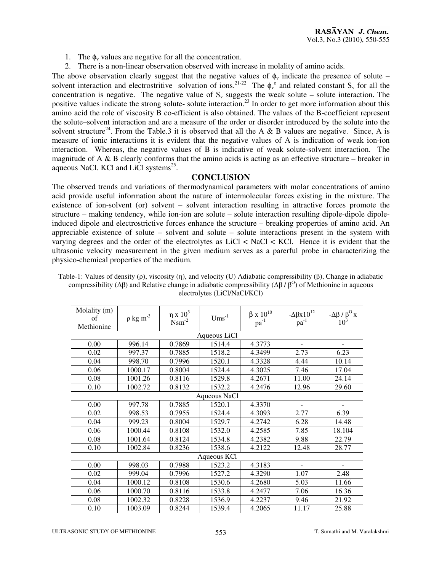- 1. The  $\phi_v$  values are negative for all the concentration.
- 2. There is a non-linear observation observed with increase in molality of amino acids.

The above observation clearly suggest that the negative values of  $\phi$  indicate the presence of solute – solvent interaction and electrostritive solvation of ions.<sup>21-22</sup> The  $\phi_v^{\circ}$  and related constant S<sub>v</sub> for all the concentration is negative. The negative value of  $S_y$  suggests the weak solute – solute interaction. The positive values indicate the strong solute- solute interaction.<sup>23</sup> In order to get more information about this amino acid the role of viscosity B co-efficient is also obtained. The values of the B-coefficient represent the solute–solvent interaction and are a measure of the order or disorder introduced by the solute into the solvent structure<sup>24</sup>. From the Table.3 it is observed that all the A & B values are negative. Since, A is measure of ionic interactions it is evident that the negative values of A is indication of weak ion-ion interaction. Whereas, the negative values of B is indicative of weak solute-solvent interaction. The magnitude of A  $\&$  B clearly conforms that the amino acids is acting as an effective structure – breaker in aqueous NaCl, KCl and LiCl systems $^{25}$ .

#### **CONCLUSION**

The observed trends and variations of thermodynamical parameters with molar concentrations of amino acid provide useful information about the nature of intermolecular forces existing in the mixture. The existence of ion-solvent (or) solvent – solvent interaction resulting in attractive forces promote the structure – making tendency, while ion-ion are solute – solute interaction resulting dipole-dipole dipoleinduced dipole and electrostrictive forces enhance the structure – breaking properties of amino acid. An appreciable existence of solute – solvent and solute – solute interactions present in the system with varying degrees and the order of the electrolytes as LiCl < NaCl < KCl. Hence it is evident that the ultrasonic velocity measurement in the given medium serves as a parerful probe in characterizing the physico-chemical properties of the medium.

| Molality (m) |                    | $η$ x $103$          | $Ums^{-1}$ | $\beta$ x $10^{10}$ |                                               |                          |  |  |  |  |
|--------------|--------------------|----------------------|------------|---------------------|-----------------------------------------------|--------------------------|--|--|--|--|
| of           | $\rho$ kg $m^{-3}$ | $N$ sm <sup>-2</sup> |            | $pa^{-1}$           | $-\Delta \beta x 10^{12}$<br>pa <sup>-1</sup> | $-\Delta\beta/\beta^0 x$ |  |  |  |  |
| Methionine   |                    |                      |            |                     |                                               |                          |  |  |  |  |
| Aqueous LiCl |                    |                      |            |                     |                                               |                          |  |  |  |  |
| 0.00         | 996.14             | 0.7869               | 1514.4     | 4.3773              | $\blacksquare$                                | ۰                        |  |  |  |  |
| 0.02         | 997.37             | 0.7885               | 1518.2     | 4.3499              | 2.73                                          | 6.23                     |  |  |  |  |
| 0.04         | 998.70             | 0.7996               | 1520.1     | 4.3328              | 4.44                                          | 10.14                    |  |  |  |  |
| 0.06         | 1000.17            | 0.8004               | 1524.4     | 4.3025              | 7.46                                          | 17.04                    |  |  |  |  |
| 0.08         | 1001.26            | 0.8116               | 1529.8     | 4.2671              | 11.00                                         | 24.14                    |  |  |  |  |
| 0.10         | 1002.72            | 0.8132               | 1532.2     | 4.2476              | 12.96                                         | 29.60                    |  |  |  |  |
| Aqueous NaCl |                    |                      |            |                     |                                               |                          |  |  |  |  |
| 0.00         | 997.78             | 0.7885               | 1520.1     | 4.3370              |                                               |                          |  |  |  |  |
| 0.02         | 998.53             | 0.7955               | 1524.4     | 4.3093              | 2.77                                          | 6.39                     |  |  |  |  |
| 0.04         | 999.23             | 0.8004               | 1529.7     | 4.2742              | 6.28                                          | 14.48                    |  |  |  |  |
| 0.06         | 1000.44            | 0.8108               | 1532.0     | 4.2585              | 7.85                                          | 18.104                   |  |  |  |  |
| 0.08         | 1001.64            | 0.8124               | 1534.8     | 4.2382              | 9.88                                          | 22.79                    |  |  |  |  |
| 0.10         | 1002.84            | 0.8236               | 1538.6     | 4.2122              | 12.48                                         | 28.77                    |  |  |  |  |
| Aqueous KCl  |                    |                      |            |                     |                                               |                          |  |  |  |  |
| 0.00         | 998.03             | 0.7988               | 1523.2     | 4.3183              |                                               |                          |  |  |  |  |
| 0.02         | 999.04             | 0.7996               | 1527.2     | 4.3290              | 1.07                                          | 2.48                     |  |  |  |  |
| 0.04         | 1000.12            | 0.8108               | 1530.6     | 4.2680              | 5.03                                          | 11.66                    |  |  |  |  |
| 0.06         | 1000.70            | 0.8116               | 1533.8     | 4.2477              | 7.06                                          | 16.36                    |  |  |  |  |
| 0.08         | 1002.32            | 0.8228               | 1536.9     | 4.2237              | 9.46                                          | 21.92                    |  |  |  |  |
| 0.10         | 1003.09            | 0.8244               | 1539.4     | 4.2065              | 11.17                                         | 25.88                    |  |  |  |  |

Table-1: Values of density (ρ), viscosity (η), and velocity (U) Adiabatic compressibility (β), Change in adiabatic compressibility ( $Δβ$ ) and Relative change in adiabatic compressibility ( $Δβ / β<sup>o</sup>$ ) of Methionine in aqueous electrolytes (LiCl/NaCl/KCl)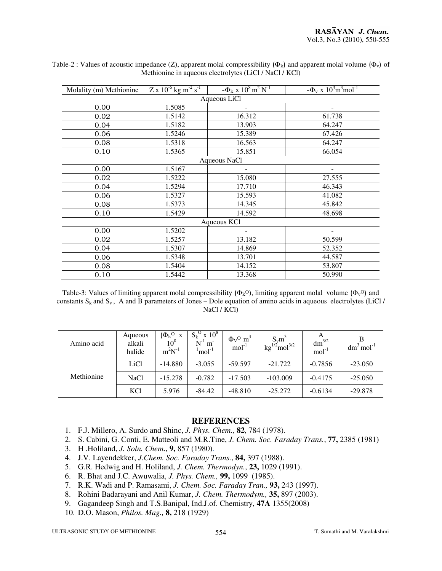| Molality (m) Methionine | $Z \times 10^{-6}$ kg m <sup>-2</sup> s <sup>-1</sup> | $ \Phi$ <sub>k</sub> x $10^8$ m <sup>2</sup> N <sup>-1</sup> | $-\Phi_v \times 10^3 \text{m}^3 \text{mol}^{-1}$ |  |  |  |  |  |
|-------------------------|-------------------------------------------------------|--------------------------------------------------------------|--------------------------------------------------|--|--|--|--|--|
| Aqueous LiCl            |                                                       |                                                              |                                                  |  |  |  |  |  |
| 0.00                    | 1.5085                                                |                                                              |                                                  |  |  |  |  |  |
| 0.02                    | 1.5142                                                | 16.312                                                       | 61.738                                           |  |  |  |  |  |
| 0.04                    | 1.5182                                                | 13.903                                                       | 64.247                                           |  |  |  |  |  |
| 0.06                    | 1.5246                                                | 15.389                                                       | 67.426                                           |  |  |  |  |  |
| 0.08                    | 1.5318                                                | 16.563                                                       | 64.247                                           |  |  |  |  |  |
| 0.10                    | 1.5365                                                | 15.851                                                       | 66.054                                           |  |  |  |  |  |
| Aqueous NaCl            |                                                       |                                                              |                                                  |  |  |  |  |  |
| 0.00                    | 1.5167                                                | ۰                                                            | -                                                |  |  |  |  |  |
| 0.02                    | 1.5222                                                | 15.080                                                       | 27.555                                           |  |  |  |  |  |
| 0.04                    | 1.5294                                                | 17.710                                                       | 46.343                                           |  |  |  |  |  |
| 0.06                    | 1.5327                                                | 15.593                                                       | 41.082                                           |  |  |  |  |  |
| 0.08                    | 1.5373                                                | 14.345                                                       | 45.842                                           |  |  |  |  |  |
| 0.10                    | 1.5429                                                | 14.592                                                       | 48.698                                           |  |  |  |  |  |
| Aqueous KCl             |                                                       |                                                              |                                                  |  |  |  |  |  |
| 0.00                    | 1.5202                                                |                                                              |                                                  |  |  |  |  |  |
| 0.02                    | 1.5257                                                | 13.182                                                       | 50.599                                           |  |  |  |  |  |
| 0.04                    | 1.5307                                                | 14.869                                                       | 52.352                                           |  |  |  |  |  |
| 0.06                    | 1.5348                                                | 13.701                                                       | 44.587                                           |  |  |  |  |  |
| 0.08                    | 1.5404                                                | 14.152                                                       | 53.807                                           |  |  |  |  |  |
| 0.10                    | 1.5442                                                | 13.368                                                       | 50.990                                           |  |  |  |  |  |

Table-2 : Values of acoustic impedance (Z), apparent molal compressibility ( $\Phi_k$ ) and apparent molal volume ( $\Phi_v$ ) of Methionine in aqueous electrolytes (LiCl / NaCl / KCl)

Table-3: Values of limiting apparent molal compressibility  $(\Phi_k O)$ , limiting apparent molal volume  $(\Phi_v O)$  and constants  $S_k$  and  $S_y$ , A and B parameters of Jones – Dole equation of amino acids in aqueous electrolytes (LiCl / NaCl / KCl)

| Amino acid | Aqueous<br>alkali<br>halide | $(\Phi_k$ <sup>O</sup> x<br>$10^8$<br>$m^2N^{-1}$ | $S_k^O$ x $10^8$<br>$N^{-1}$ m <sup>-</sup><br>$1$ mol $1$ | $\Phi$ <sub>V</sub> <sup>O</sup> m <sup>3</sup><br>$\text{mol}^{-1}$ | $S_v m^3$<br>kg <sup>1/2</sup> mol <sup>3/2</sup> | A<br>$dm^{3/2}$<br>$mol-1$ | $dm^3$ mol <sup>-1</sup> |
|------------|-----------------------------|---------------------------------------------------|------------------------------------------------------------|----------------------------------------------------------------------|---------------------------------------------------|----------------------------|--------------------------|
| Methionine | LiCl                        | $-14.880$                                         | $-3.055$                                                   | $-59.597$                                                            | $-21.722$                                         | $-0.7856$                  | $-23.050$                |
|            | <b>NaCl</b>                 | $-15.278$                                         | $-0.782$                                                   | $-17.503$                                                            | $-103.009$                                        | $-0.4175$                  | $-25.050$                |
|            | <b>KCl</b>                  | 5.976                                             | $-84.42$                                                   | $-48.810$                                                            | $-25.272$                                         | $-0.6134$                  | $-29.878$                |

#### **REFERENCES**

- 1. F.J. Millero, A. Surdo and Shinc, *J. Phys. Chem.,* **82**, 784 (1978).
- 2. S. Cabini, G. Conti, E. Matteoli and M.R.Tine, *J. Chem. Soc. Faraday Trans.*, **77,** 2385 (1981)
- 3. H .Holiland, *J. Soln. Chem*., **9,** 857 (1980).
- 4. J.V. Layendekker, *J.Chem. Soc. Faraday Trans.*, **84,** 397 (1988).
- 5. G.R. Hedwig and H. Holiland, *J. Chem. Thermodyn.*, **23,** 1029 (1991).
- 6. R. Bhat and J.C. Awuwalia, *J. Phys. Chem.,* **99,** 1099 (1985).
- 7. R.K. Wadi and P. Ramasami, *J. Chem. Soc. Faraday Tran.,* **93,** 243 (1997).
- 8. Rohini Badarayani and Anil Kumar, *J. Chem. Thermodym.,* **35,** 897 (2003).
- 9. Gagandeep Singh and T.S.Banipal, Ind.J.of. Chemistry, **47A** 1355(2008)
- 10. D.O. Mason, *Philos. Mag.,* **8,** 218 (1929)